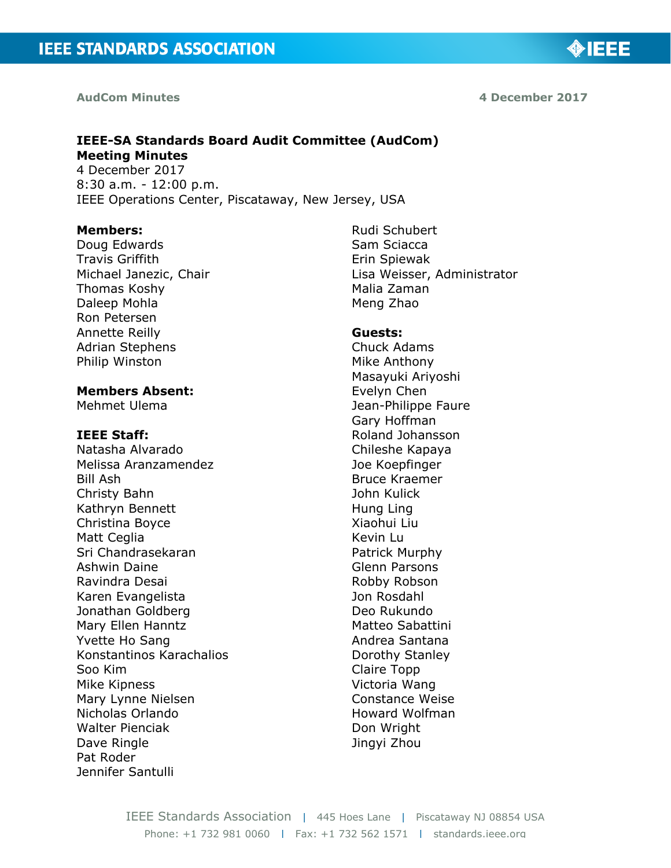#### **AudCom Minutes**

#### **4 December 2017**

◈IEEE

# **IEEE-SA Standards Board Audit Committee (AudCom) Meeting Minutes**

4 December 2017 8:30 a.m. - 12:00 p.m. IEEE Operations Center, Piscataway, New Jersey, USA

#### **Members:**

Doug Edwards Travis Griffith Michael Janezic, Chair Thomas Koshy Daleep Mohla Ron Petersen Annette Reilly Adrian Stephens Philip Winston

#### **Members Absent:**

Mehmet Ulema

#### **IEEE Staff:**

Natasha Alvarado Melissa Aranzamendez Bill Ash Christy Bahn Kathryn Bennett Christina Boyce Matt Ceglia Sri Chandrasekaran Ashwin Daine Ravindra Desai Karen Evangelista Jonathan Goldberg Mary Ellen Hanntz Yvette Ho Sang Konstantinos Karachalios Soo Kim Mike Kipness Mary Lynne Nielsen Nicholas Orlando Walter Pienciak Dave Ringle Pat Roder Jennifer Santulli

Rudi Schubert Sam Sciacca Erin Spiewak Lisa Weisser, Administrator Malia Zaman Meng Zhao

#### **Guests:**

Chuck Adams Mike Anthony Masayuki Ariyoshi Evelyn Chen Jean-Philippe Faure Gary Hoffman Roland Johansson Chileshe Kapaya Joe Koepfinger Bruce Kraemer John Kulick Hung Ling Xiaohui Liu Kevin Lu Patrick Murphy Glenn Parsons Robby Robson Jon Rosdahl Deo Rukundo Matteo Sabattini Andrea Santana Dorothy Stanley Claire Topp Victoria Wang Constance Weise Howard Wolfman Don Wright Jingyi Zhou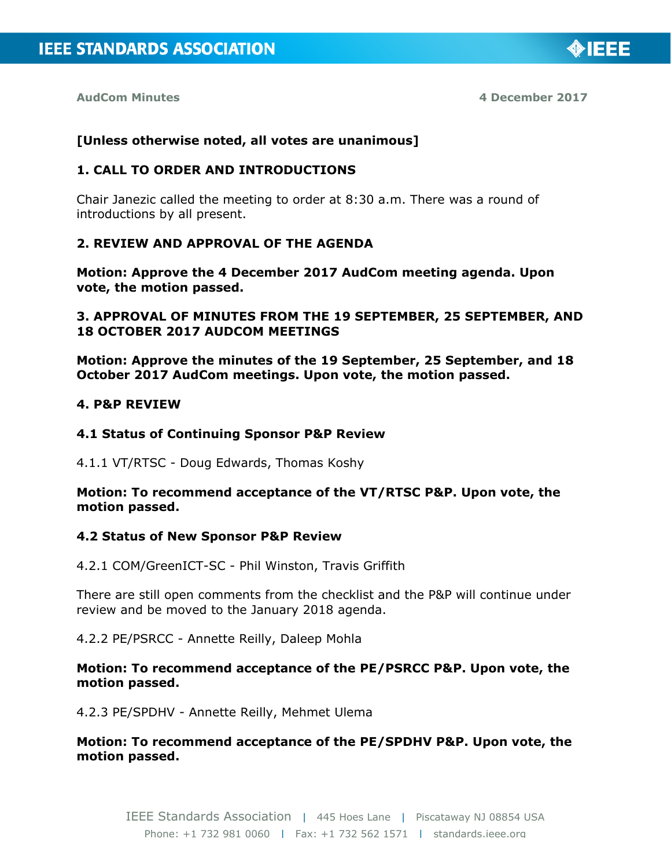◈IEEE

#### **[Unless otherwise noted, all votes are unanimous]**

#### **1. CALL TO ORDER AND INTRODUCTIONS**

Chair Janezic called the meeting to order at 8:30 a.m. There was a round of introductions by all present.

# **2. REVIEW AND APPROVAL OF THE AGENDA**

**Motion: Approve the 4 December 2017 AudCom meeting agenda. Upon vote, the motion passed.**

### **3. APPROVAL OF MINUTES FROM THE 19 SEPTEMBER, 25 SEPTEMBER, AND 18 OCTOBER 2017 AUDCOM MEETINGS**

**Motion: Approve the minutes of the 19 September, 25 September, and 18 October 2017 AudCom meetings. Upon vote, the motion passed.**

#### **4. P&P REVIEW**

#### **4.1 Status of Continuing Sponsor P&P Review**

4.1.1 VT/RTSC - Doug Edwards, Thomas Koshy

**Motion: To recommend acceptance of the VT/RTSC P&P. Upon vote, the motion passed.**

#### **4.2 Status of New Sponsor P&P Review**

4.2.1 COM/GreenICT-SC - Phil Winston, Travis Griffith

There are still open comments from the checklist and the P&P will continue under review and be moved to the January 2018 agenda.

4.2.2 PE/PSRCC - Annette Reilly, Daleep Mohla

### **Motion: To recommend acceptance of the PE/PSRCC P&P. Upon vote, the motion passed.**

4.2.3 PE/SPDHV - Annette Reilly, Mehmet Ulema

**Motion: To recommend acceptance of the PE/SPDHV P&P. Upon vote, the motion passed.**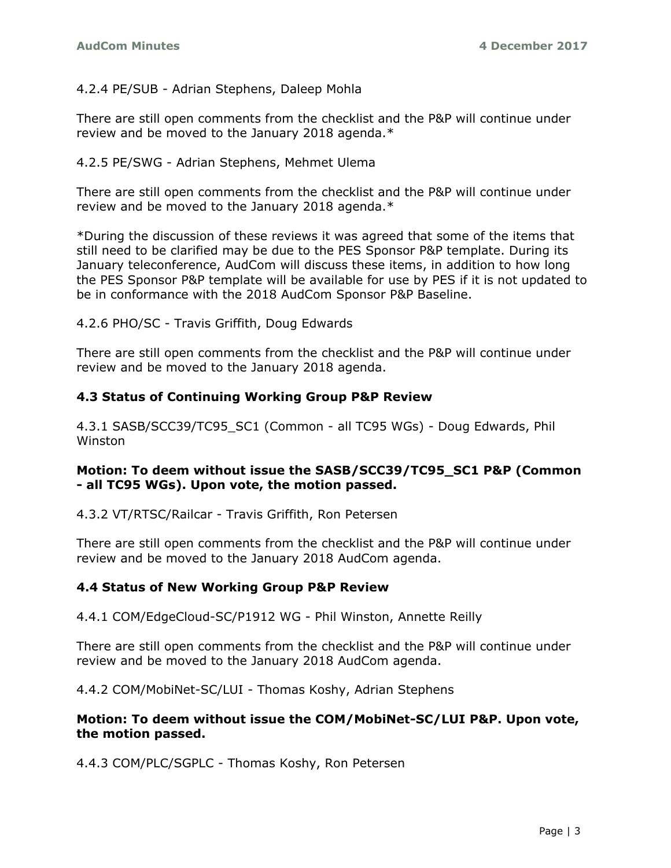4.2.4 PE/SUB - Adrian Stephens, Daleep Mohla

There are still open comments from the checklist and the P&P will continue under review and be moved to the January 2018 agenda.\*

4.2.5 PE/SWG - Adrian Stephens, Mehmet Ulema

There are still open comments from the checklist and the P&P will continue under review and be moved to the January 2018 agenda.\*

\*During the discussion of these reviews it was agreed that some of the items that still need to be clarified may be due to the PES Sponsor P&P template. During its January teleconference, AudCom will discuss these items, in addition to how long the PES Sponsor P&P template will be available for use by PES if it is not updated to be in conformance with the 2018 AudCom Sponsor P&P Baseline.

4.2.6 PHO/SC - Travis Griffith, Doug Edwards

There are still open comments from the checklist and the P&P will continue under review and be moved to the January 2018 agenda.

## **4.3 Status of Continuing Working Group P&P Review**

4.3.1 SASB/SCC39/TC95\_SC1 (Common - all TC95 WGs) - Doug Edwards, Phil Winston

## **Motion: To deem without issue the SASB/SCC39/TC95\_SC1 P&P (Common - all TC95 WGs). Upon vote, the motion passed.**

4.3.2 VT/RTSC/Railcar - Travis Griffith, Ron Petersen

There are still open comments from the checklist and the P&P will continue under review and be moved to the January 2018 AudCom agenda.

# **4.4 Status of New Working Group P&P Review**

4.4.1 COM/EdgeCloud-SC/P1912 WG - Phil Winston, Annette Reilly

There are still open comments from the checklist and the P&P will continue under review and be moved to the January 2018 AudCom agenda.

4.4.2 COM/MobiNet-SC/LUI - Thomas Koshy, Adrian Stephens

## **Motion: To deem without issue the COM/MobiNet-SC/LUI P&P. Upon vote, the motion passed.**

4.4.3 COM/PLC/SGPLC - Thomas Koshy, Ron Petersen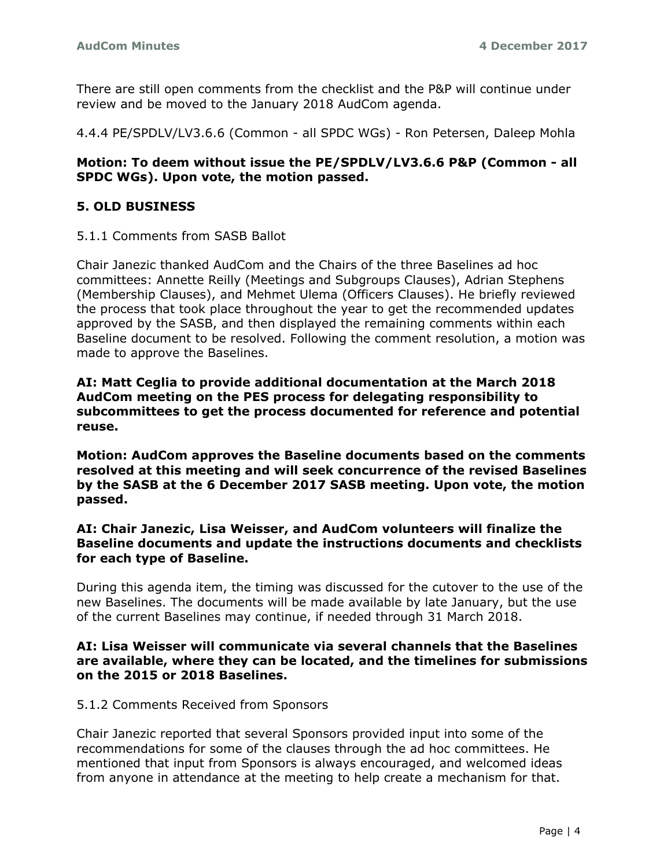There are still open comments from the checklist and the P&P will continue under review and be moved to the January 2018 AudCom agenda.

4.4.4 PE/SPDLV/LV3.6.6 (Common - all SPDC WGs) - Ron Petersen, Daleep Mohla

## **Motion: To deem without issue the PE/SPDLV/LV3.6.6 P&P (Common - all SPDC WGs). Upon vote, the motion passed.**

## **5. OLD BUSINESS**

5.1.1 Comments from SASB Ballot

Chair Janezic thanked AudCom and the Chairs of the three Baselines ad hoc committees: Annette Reilly (Meetings and Subgroups Clauses), Adrian Stephens (Membership Clauses), and Mehmet Ulema (Officers Clauses). He briefly reviewed the process that took place throughout the year to get the recommended updates approved by the SASB, and then displayed the remaining comments within each Baseline document to be resolved. Following the comment resolution, a motion was made to approve the Baselines.

**AI: Matt Ceglia to provide additional documentation at the March 2018 AudCom meeting on the PES process for delegating responsibility to subcommittees to get the process documented for reference and potential reuse.** 

**Motion: AudCom approves the Baseline documents based on the comments resolved at this meeting and will seek concurrence of the revised Baselines by the SASB at the 6 December 2017 SASB meeting. Upon vote, the motion passed.**

### **AI: Chair Janezic, Lisa Weisser, and AudCom volunteers will finalize the Baseline documents and update the instructions documents and checklists for each type of Baseline.**

During this agenda item, the timing was discussed for the cutover to the use of the new Baselines. The documents will be made available by late January, but the use of the current Baselines may continue, if needed through 31 March 2018.

### **AI: Lisa Weisser will communicate via several channels that the Baselines are available, where they can be located, and the timelines for submissions on the 2015 or 2018 Baselines.**

### 5.1.2 Comments Received from Sponsors

Chair Janezic reported that several Sponsors provided input into some of the recommendations for some of the clauses through the ad hoc committees. He mentioned that input from Sponsors is always encouraged, and welcomed ideas from anyone in attendance at the meeting to help create a mechanism for that.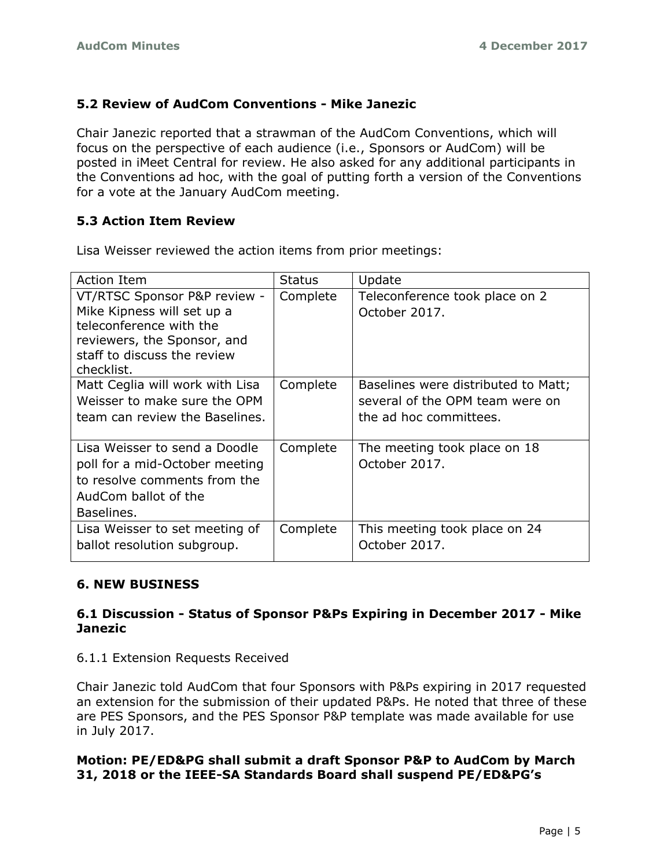# **5.2 Review of AudCom Conventions - Mike Janezic**

Chair Janezic reported that a strawman of the AudCom Conventions, which will focus on the perspective of each audience (i.e., Sponsors or AudCom) will be posted in iMeet Central for review. He also asked for any additional participants in the Conventions ad hoc, with the goal of putting forth a version of the Conventions for a vote at the January AudCom meeting.

# **5.3 Action Item Review**

Lisa Weisser reviewed the action items from prior meetings:

| <b>Action Item</b>                                                                                                                                                | <b>Status</b> | Update                                                                                           |
|-------------------------------------------------------------------------------------------------------------------------------------------------------------------|---------------|--------------------------------------------------------------------------------------------------|
| VT/RTSC Sponsor P&P review -<br>Mike Kipness will set up a<br>teleconference with the<br>reviewers, the Sponsor, and<br>staff to discuss the review<br>checklist. | Complete      | Teleconference took place on 2<br>October 2017.                                                  |
| Matt Ceglia will work with Lisa<br>Weisser to make sure the OPM<br>team can review the Baselines.                                                                 | Complete      | Baselines were distributed to Matt;<br>several of the OPM team were on<br>the ad hoc committees. |
| Lisa Weisser to send a Doodle<br>poll for a mid-October meeting<br>to resolve comments from the<br>AudCom ballot of the<br>Baselines.                             | Complete      | The meeting took place on 18<br>October 2017.                                                    |
| Lisa Weisser to set meeting of<br>ballot resolution subgroup.                                                                                                     | Complete      | This meeting took place on 24<br>October 2017.                                                   |

# **6. NEW BUSINESS**

# **6.1 Discussion - Status of Sponsor P&Ps Expiring in December 2017 - Mike Janezic**

# 6.1.1 Extension Requests Received

Chair Janezic told AudCom that four Sponsors with P&Ps expiring in 2017 requested an extension for the submission of their updated P&Ps. He noted that three of these are PES Sponsors, and the PES Sponsor P&P template was made available for use in July 2017.

# **Motion: PE/ED&PG shall submit a draft Sponsor P&P to AudCom by March 31, 2018 or the IEEE-SA Standards Board shall suspend PE/ED&PG's**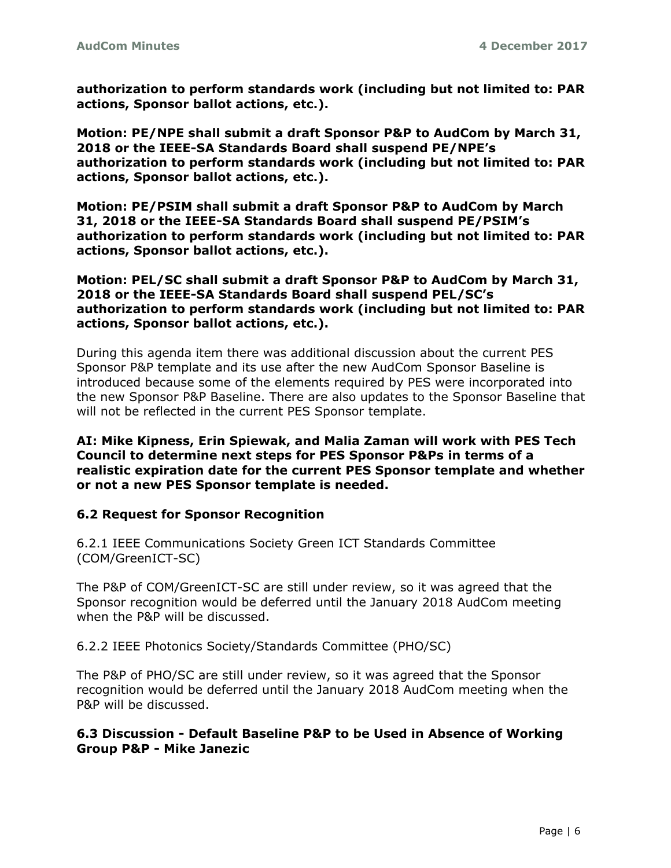**authorization to perform standards work (including but not limited to: PAR actions, Sponsor ballot actions, etc.).**

**Motion: PE/NPE shall submit a draft Sponsor P&P to AudCom by March 31, 2018 or the IEEE-SA Standards Board shall suspend PE/NPE's authorization to perform standards work (including but not limited to: PAR actions, Sponsor ballot actions, etc.).**

**Motion: PE/PSIM shall submit a draft Sponsor P&P to AudCom by March 31, 2018 or the IEEE-SA Standards Board shall suspend PE/PSIM's authorization to perform standards work (including but not limited to: PAR actions, Sponsor ballot actions, etc.).**

**Motion: PEL/SC shall submit a draft Sponsor P&P to AudCom by March 31, 2018 or the IEEE-SA Standards Board shall suspend PEL/SC's authorization to perform standards work (including but not limited to: PAR actions, Sponsor ballot actions, etc.).**

During this agenda item there was additional discussion about the current PES Sponsor P&P template and its use after the new AudCom Sponsor Baseline is introduced because some of the elements required by PES were incorporated into the new Sponsor P&P Baseline. There are also updates to the Sponsor Baseline that will not be reflected in the current PES Sponsor template.

**AI: Mike Kipness, Erin Spiewak, and Malia Zaman will work with PES Tech Council to determine next steps for PES Sponsor P&Ps in terms of a realistic expiration date for the current PES Sponsor template and whether or not a new PES Sponsor template is needed.** 

### **6.2 Request for Sponsor Recognition**

6.2.1 IEEE Communications Society Green ICT Standards Committee (COM/GreenICT-SC)

The P&P of COM/GreenICT-SC are still under review, so it was agreed that the Sponsor recognition would be deferred until the January 2018 AudCom meeting when the P&P will be discussed.

6.2.2 IEEE Photonics Society/Standards Committee (PHO/SC)

The P&P of PHO/SC are still under review, so it was agreed that the Sponsor recognition would be deferred until the January 2018 AudCom meeting when the P&P will be discussed.

## **6.3 Discussion - Default Baseline P&P to be Used in Absence of Working Group P&P - Mike Janezic**